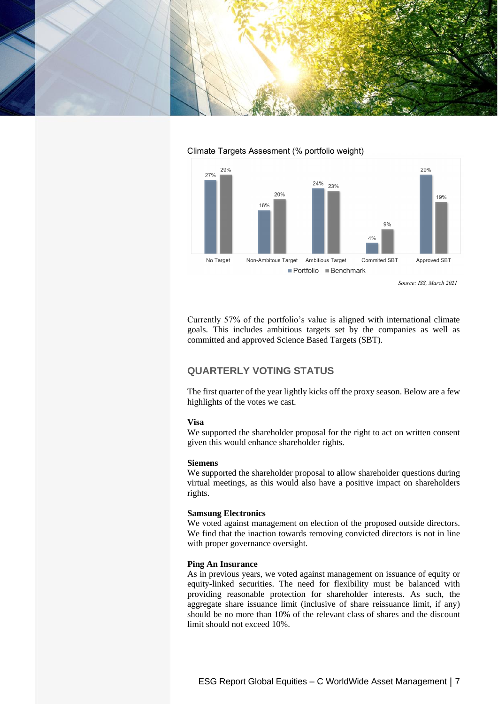



### Climate Targets Assesment (% portfolio weight)

Currently 57% of the portfolio's value is aligned with international climate goals. This includes ambitious targets set by the companies as well as committed and approved Science Based Targets (SBT).

# **QUARTERLY VOTING STATUS**

The first quarter of the year lightly kicks off the proxy season. Below are a few highlights of the votes we cast.

## **Visa**

We supported the shareholder proposal for the right to act on written consent given this would enhance shareholder rights.

### **Siemens**

We supported the shareholder proposal to allow shareholder questions during virtual meetings, as this would also have a positive impact on shareholders rights.

#### **Samsung Electronics**

We voted against management on election of the proposed outside directors. We find that the inaction towards removing convicted directors is not in line with proper governance oversight.

### **Ping An Insurance**

As in previous years, we voted against management on issuance of equity or equity-linked securities. The need for flexibility must be balanced with providing reasonable protection for shareholder interests. As such, the aggregate share issuance limit (inclusive of share reissuance limit, if any) should be no more than 10% of the relevant class of shares and the discount limit should not exceed 10%.

*Source: ISS, March 2021*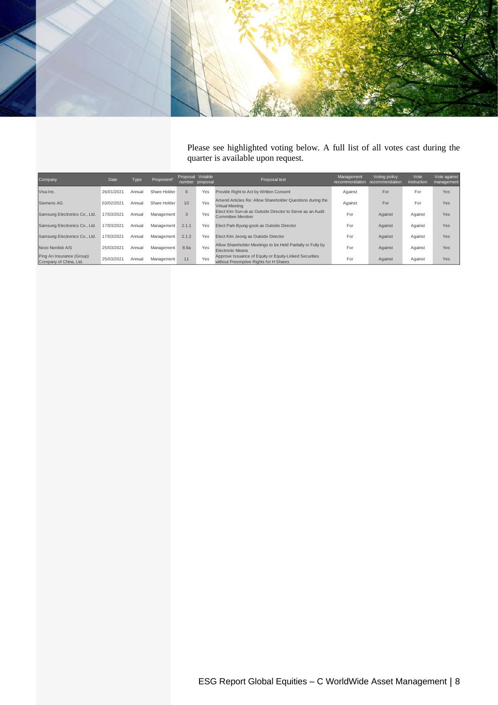

Please see highlighted voting below. A full list of all votes cast during the quarter is available upon request.

| <b>Company</b>                                      | Date       | Type   | Proponent*   | Proposal Votable | number proposal | Proposal text                                                                                    | Management<br>recommendation | Voting policy<br>recommendation | Vote<br>instruction | Vote against<br>management |
|-----------------------------------------------------|------------|--------|--------------|------------------|-----------------|--------------------------------------------------------------------------------------------------|------------------------------|---------------------------------|---------------------|----------------------------|
| Visa Inc.                                           | 26/01/2021 | Annual | Share Holder | 6                | Yes             | Provide Right to Act by Written Consent                                                          | Against                      | For                             | For                 | Yes                        |
| Siemens AG                                          | 03/02/2021 | Annual | Share Holder | 10               | Yes             | Amend Articles Re: Allow Shareholder Questions during the<br>Virtual Meeting                     | Against                      | For                             | For                 | Yes                        |
| Samsung Electronics Co., Ltd.                       | 17/03/2021 | Annual | Management   | 3                | Yes             | Elect Kim Sun-uk as Outside Director to Serve as an Audit<br>Committee Member                    | For                          | Against                         | Against             | Yes                        |
| Samsung Electronics Co., Ltd.                       | 17/03/2021 | Annual | Management   | 2.1.1            | Yes             | Elect Park Byung-gook as Outside Director                                                        | For                          | Against                         | Against             | Yes                        |
| Samsung Electronics Co., Ltd.                       | 17/03/2021 | Annual | Management   | 2.1.2            | Yes             | Elect Kim Jeong as Outside Director                                                              | For                          | Against                         | Against             | Yes                        |
| Novo Nordisk A/S                                    | 25/03/2021 | Annual | Management   | 8.6a             | Yes             | Allow Shareholder Meetings to be Held Partially or Fully by<br>Electronic Means                  | For                          | Against                         | Against             | <b>Yes</b>                 |
| Ping An Insurance (Group)<br>Company of China, Ltd. | 25/03/2021 | Annual | Management   | 11               | Yes             | Approve Issuance of Equity or Equity-Linked Securities<br>without Preemptive Rights for H Shares | For                          | Against                         | Against             | Yes                        |